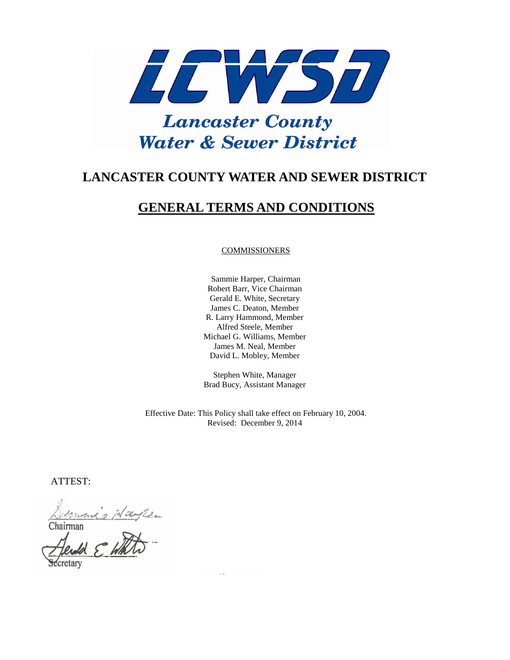

# **LANCASTER COUNTY WATER AND SEWER DISTRICT**

# **GENERAL TERMS AND CONDITIONS**

#### COMMISSIONERS

 Sammie Harper, Chairman Robert Barr, Vice Chairman Gerald E. White, Secretary James C. Deaton, Member R. Larry Hammond, Member Alfred Steele, Member Michael G. Williams, Member James M. Neal, Member David L. Mobley, Member

Stephen White, Manager Brad Bucy, Assistant Manager

Effective Date: This Policy shall take effect on February 10, 2004. Revised: December 9, 2014

ATTEST:

Demoni's Hayle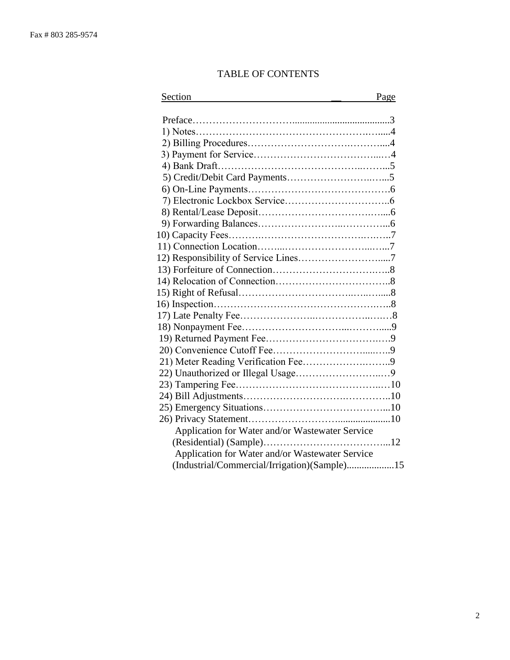# TABLE OF CONTENTS

| Section                                         | Page |
|-------------------------------------------------|------|
|                                                 |      |
|                                                 |      |
|                                                 |      |
|                                                 |      |
|                                                 |      |
|                                                 |      |
|                                                 |      |
|                                                 |      |
|                                                 |      |
|                                                 |      |
|                                                 |      |
|                                                 |      |
|                                                 |      |
|                                                 |      |
|                                                 |      |
|                                                 |      |
|                                                 |      |
|                                                 |      |
|                                                 |      |
|                                                 |      |
|                                                 |      |
|                                                 |      |
|                                                 |      |
|                                                 |      |
|                                                 |      |
|                                                 |      |
|                                                 |      |
|                                                 |      |
| Application for Water and/or Wastewater Service |      |
|                                                 |      |
| Application for Water and/or Wastewater Service |      |
| (Industrial/Commercial/Irrigation)(Sample)15    |      |
|                                                 |      |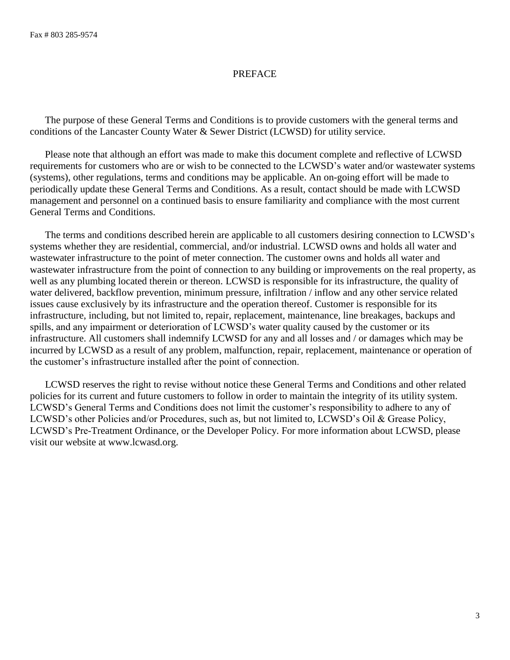## PREFACE

 The purpose of these General Terms and Conditions is to provide customers with the general terms and conditions of the Lancaster County Water & Sewer District (LCWSD) for utility service.

 Please note that although an effort was made to make this document complete and reflective of LCWSD requirements for customers who are or wish to be connected to the LCWSD's water and/or wastewater systems (systems), other regulations, terms and conditions may be applicable. An on-going effort will be made to periodically update these General Terms and Conditions. As a result, contact should be made with LCWSD management and personnel on a continued basis to ensure familiarity and compliance with the most current General Terms and Conditions.

 The terms and conditions described herein are applicable to all customers desiring connection to LCWSD's systems whether they are residential, commercial, and/or industrial. LCWSD owns and holds all water and wastewater infrastructure to the point of meter connection. The customer owns and holds all water and wastewater infrastructure from the point of connection to any building or improvements on the real property, as well as any plumbing located therein or thereon. LCWSD is responsible for its infrastructure, the quality of water delivered, backflow prevention, minimum pressure, infiltration / inflow and any other service related issues cause exclusively by its infrastructure and the operation thereof. Customer is responsible for its infrastructure, including, but not limited to, repair, replacement, maintenance, line breakages, backups and spills, and any impairment or deterioration of LCWSD's water quality caused by the customer or its infrastructure. All customers shall indemnify LCWSD for any and all losses and / or damages which may be incurred by LCWSD as a result of any problem, malfunction, repair, replacement, maintenance or operation of the customer's infrastructure installed after the point of connection.

 LCWSD reserves the right to revise without notice these General Terms and Conditions and other related policies for its current and future customers to follow in order to maintain the integrity of its utility system. LCWSD's General Terms and Conditions does not limit the customer's responsibility to adhere to any of LCWSD's other Policies and/or Procedures, such as, but not limited to, LCWSD's Oil & Grease Policy, LCWSD's Pre-Treatment Ordinance, or the Developer Policy. For more information about LCWSD, please visit our website at www.lcwasd.org.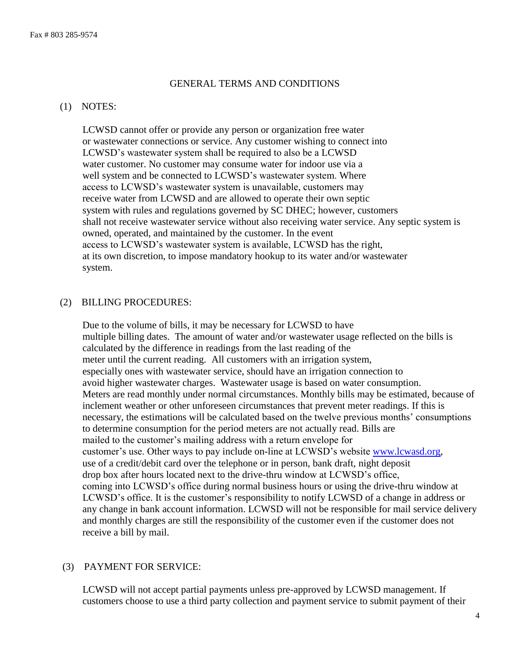## GENERAL TERMS AND CONDITIONS

#### (1) NOTES:

 LCWSD cannot offer or provide any person or organization free water or wastewater connections or service. Any customer wishing to connect into LCWSD's wastewater system shall be required to also be a LCWSD water customer. No customer may consume water for indoor use via a well system and be connected to LCWSD's wastewater system. Where access to LCWSD's wastewater system is unavailable, customers may receive water from LCWSD and are allowed to operate their own septic system with rules and regulations governed by SC DHEC; however, customers shall not receive wastewater service without also receiving water service. Any septic system is owned, operated, and maintained by the customer. In the event access to LCWSD's wastewater system is available, LCWSD has the right, at its own discretion, to impose mandatory hookup to its water and/or wastewater system.

### (2) BILLING PROCEDURES:

 Due to the volume of bills, it may be necessary for LCWSD to have multiple billing dates. The amount of water and/or wastewater usage reflected on the bills is calculated by the difference in readings from the last reading of the meter until the current reading. All customers with an irrigation system, especially ones with wastewater service, should have an irrigation connection to avoid higher wastewater charges. Wastewater usage is based on water consumption. Meters are read monthly under normal circumstances. Monthly bills may be estimated, because of inclement weather or other unforeseen circumstances that prevent meter readings. If this is necessary, the estimations will be calculated based on the twelve previous months' consumptions to determine consumption for the period meters are not actually read. Bills are mailed to the customer's mailing address with a return envelope for customer's use. Other ways to pay include on-line at LCWSD's website [www.lcwasd.org,](http://www.lcwasd.org/) use of a credit/debit card over the telephone or in person, bank draft, night deposit drop box after hours located next to the drive-thru window at LCWSD's office, coming into LCWSD's office during normal business hours or using the drive-thru window at LCWSD's office. It is the customer's responsibility to notify LCWSD of a change in address or any change in bank account information. LCWSD will not be responsible for mail service delivery and monthly charges are still the responsibility of the customer even if the customer does not receive a bill by mail.

## (3) PAYMENT FOR SERVICE:

 LCWSD will not accept partial payments unless pre-approved by LCWSD management. If customers choose to use a third party collection and payment service to submit payment of their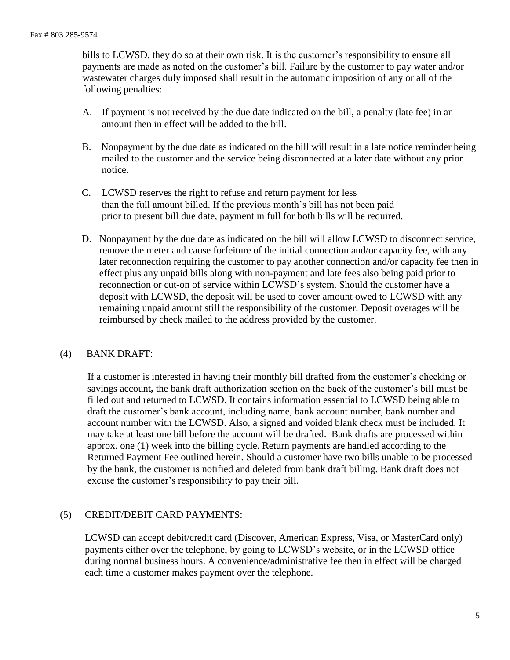bills to LCWSD, they do so at their own risk. It is the customer's responsibility to ensure all payments are made as noted on the customer's bill. Failure by the customer to pay water and/or wastewater charges duly imposed shall result in the automatic imposition of any or all of the following penalties:

- A. If payment is not received by the due date indicated on the bill, a penalty (late fee) in an amount then in effect will be added to the bill.
- B. Nonpayment by the due date as indicated on the bill will result in a late notice reminder being mailed to the customer and the service being disconnected at a later date without any prior notice.
- C. LCWSD reserves the right to refuse and return payment for less than the full amount billed. If the previous month's bill has not been paid prior to present bill due date, payment in full for both bills will be required.
- D. Nonpayment by the due date as indicated on the bill will allow LCWSD to disconnect service, remove the meter and cause forfeiture of the initial connection and/or capacity fee, with any later reconnection requiring the customer to pay another connection and/or capacity fee then in effect plus any unpaid bills along with non-payment and late fees also being paid prior to reconnection or cut-on of service within LCWSD's system. Should the customer have a deposit with LCWSD, the deposit will be used to cover amount owed to LCWSD with any remaining unpaid amount still the responsibility of the customer. Deposit overages will be reimbursed by check mailed to the address provided by the customer.

## (4) BANK DRAFT:

If a customer is interested in having their monthly bill drafted from the customer's checking or savings account**,** the bank draft authorization section on the back of the customer's bill must be filled out and returned to LCWSD. It contains information essential to LCWSD being able to draft the customer's bank account, including name, bank account number, bank number and account number with the LCWSD. Also, a signed and voided blank check must be included. It may take at least one bill before the account will be drafted. Bank drafts are processed within approx. one (1) week into the billing cycle. Return payments are handled according to the Returned Payment Fee outlined herein. Should a customer have two bills unable to be processed by the bank, the customer is notified and deleted from bank draft billing. Bank draft does not excuse the customer's responsibility to pay their bill.

## (5) CREDIT/DEBIT CARD PAYMENTS:

LCWSD can accept debit/credit card (Discover, American Express, Visa, or MasterCard only) payments either over the telephone, by going to LCWSD's website, or in the LCWSD office during normal business hours. A convenience/administrative fee then in effect will be charged each time a customer makes payment over the telephone.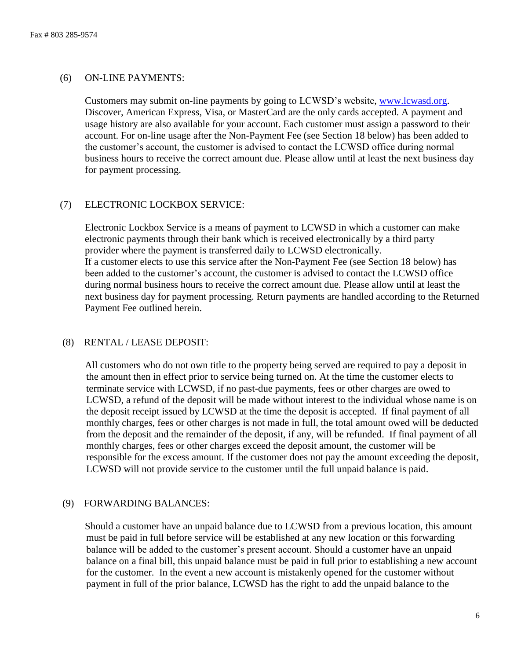## (6) ON-LINE PAYMENTS:

 Customers may submit on-line payments by going to LCWSD's website, [www.lcwasd.org.](http://www.lcwasd.org/) Discover, American Express, Visa, or MasterCard are the only cards accepted. A payment and usage history are also available for your account. Each customer must assign a password to their account. For on-line usage after the Non-Payment Fee (see Section 18 below) has been added to the customer's account, the customer is advised to contact the LCWSD office during normal business hours to receive the correct amount due. Please allow until at least the next business day for payment processing.

## (7) ELECTRONIC LOCKBOX SERVICE:

 Electronic Lockbox Service is a means of payment to LCWSD in which a customer can make electronic payments through their bank which is received electronically by a third party provider where the payment is transferred daily to LCWSD electronically. If a customer elects to use this service after the Non-Payment Fee (see Section 18 below) has been added to the customer's account, the customer is advised to contact the LCWSD office during normal business hours to receive the correct amount due. Please allow until at least the next business day for payment processing. Return payments are handled according to the Returned Payment Fee outlined herein.

#### (8) RENTAL / LEASE DEPOSIT:

 All customers who do not own title to the property being served are required to pay a deposit in the amount then in effect prior to service being turned on. At the time the customer elects to terminate service with LCWSD, if no past-due payments, fees or other charges are owed to LCWSD, a refund of the deposit will be made without interest to the individual whose name is on the deposit receipt issued by LCWSD at the time the deposit is accepted. If final payment of all monthly charges, fees or other charges is not made in full, the total amount owed will be deducted from the deposit and the remainder of the deposit, if any, will be refunded. If final payment of all monthly charges, fees or other charges exceed the deposit amount, the customer will be responsible for the excess amount. If the customer does not pay the amount exceeding the deposit, LCWSD will not provide service to the customer until the full unpaid balance is paid.

#### (9) FORWARDING BALANCES:

Should a customer have an unpaid balance due to LCWSD from a previous location, this amount must be paid in full before service will be established at any new location or this forwarding balance will be added to the customer's present account. Should a customer have an unpaid balance on a final bill, this unpaid balance must be paid in full prior to establishing a new account for the customer. In the event a new account is mistakenly opened for the customer without payment in full of the prior balance, LCWSD has the right to add the unpaid balance to the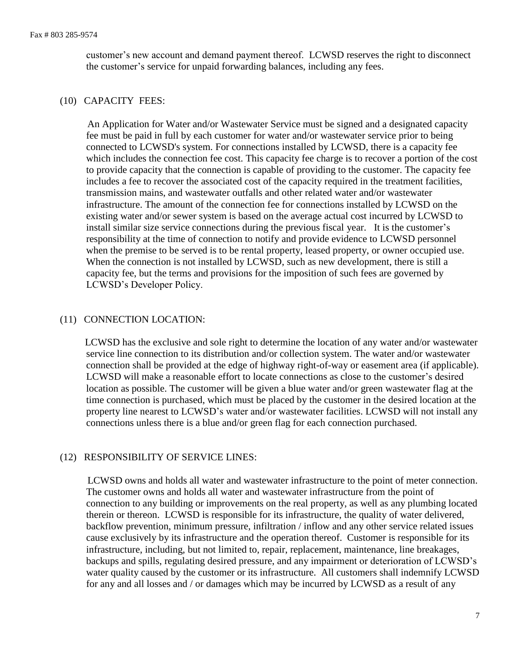customer's new account and demand payment thereof. LCWSD reserves the right to disconnect the customer's service for unpaid forwarding balances, including any fees.

### (10) CAPACITY FEES:

 An Application for Water and/or Wastewater Service must be signed and a designated capacity fee must be paid in full by each customer for water and/or wastewater service prior to being connected to LCWSD's system. For connections installed by LCWSD, there is a capacity fee which includes the connection fee cost. This capacity fee charge is to recover a portion of the cost to provide capacity that the connection is capable of providing to the customer. The capacity fee includes a fee to recover the associated cost of the capacity required in the treatment facilities, transmission mains, and wastewater outfalls and other related water and/or wastewater infrastructure. The amount of the connection fee for connections installed by LCWSD on the existing water and/or sewer system is based on the average actual cost incurred by LCWSD to install similar size service connections during the previous fiscal year. It is the customer's responsibility at the time of connection to notify and provide evidence to LCWSD personnel when the premise to be served is to be rental property, leased property, or owner occupied use. When the connection is not installed by LCWSD, such as new development, there is still a capacity fee, but the terms and provisions for the imposition of such fees are governed by LCWSD's Developer Policy.

## (11) CONNECTION LOCATION:

LCWSD has the exclusive and sole right to determine the location of any water and/or wastewater service line connection to its distribution and/or collection system. The water and/or wastewater connection shall be provided at the edge of highway right-of-way or easement area (if applicable). LCWSD will make a reasonable effort to locate connections as close to the customer's desired location as possible. The customer will be given a blue water and/or green wastewater flag at the time connection is purchased, which must be placed by the customer in the desired location at the property line nearest to LCWSD's water and/or wastewater facilities. LCWSD will not install any connections unless there is a blue and/or green flag for each connection purchased.

## (12) RESPONSIBILITY OF SERVICE LINES:

 LCWSD owns and holds all water and wastewater infrastructure to the point of meter connection. The customer owns and holds all water and wastewater infrastructure from the point of connection to any building or improvements on the real property, as well as any plumbing located therein or thereon. LCWSD is responsible for its infrastructure, the quality of water delivered, backflow prevention, minimum pressure, infiltration / inflow and any other service related issues cause exclusively by its infrastructure and the operation thereof. Customer is responsible for its infrastructure, including, but not limited to, repair, replacement, maintenance, line breakages, backups and spills, regulating desired pressure, and any impairment or deterioration of LCWSD's water quality caused by the customer or its infrastructure. All customers shall indemnify LCWSD for any and all losses and / or damages which may be incurred by LCWSD as a result of any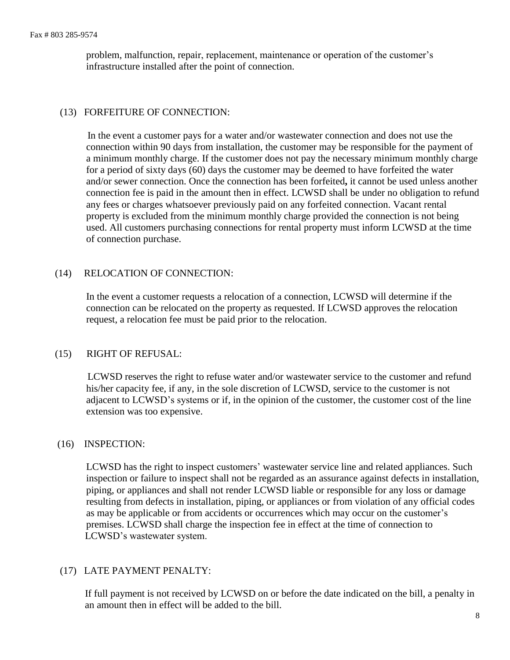problem, malfunction, repair, replacement, maintenance or operation of the customer's infrastructure installed after the point of connection.

# (13) FORFEITURE OF CONNECTION:

 In the event a customer pays for a water and/or wastewater connection and does not use the connection within 90 days from installation, the customer may be responsible for the payment of a minimum monthly charge. If the customer does not pay the necessary minimum monthly charge for a period of sixty days (60) days the customer may be deemed to have forfeited the water and/or sewer connection. Once the connection has been forfeited**,** it cannot be used unless another connection fee is paid in the amount then in effect. LCWSD shall be under no obligation to refund any fees or charges whatsoever previously paid on any forfeited connection. Vacant rental property is excluded from the minimum monthly charge provided the connection is not being used. All customers purchasing connections for rental property must inform LCWSD at the time of connection purchase.

## (14) RELOCATION OF CONNECTION:

In the event a customer requests a relocation of a connection, LCWSD will determine if the connection can be relocated on the property as requested. If LCWSD approves the relocation request, a relocation fee must be paid prior to the relocation.

# (15) RIGHT OF REFUSAL:

 LCWSD reserves the right to refuse water and/or wastewater service to the customer and refund his/her capacity fee, if any, in the sole discretion of LCWSD, service to the customer is not adjacent to LCWSD's systems or if, in the opinion of the customer, the customer cost of the line extension was too expensive.

#### (16) INSPECTION:

LCWSD has the right to inspect customers' wastewater service line and related appliances. Such inspection or failure to inspect shall not be regarded as an assurance against defects in installation, piping, or appliances and shall not render LCWSD liable or responsible for any loss or damage resulting from defects in installation, piping, or appliances or from violation of any official codes as may be applicable or from accidents or occurrences which may occur on the customer's premises. LCWSD shall charge the inspection fee in effect at the time of connection to LCWSD's wastewater system.

## (17) LATE PAYMENT PENALTY:

 If full payment is not received by LCWSD on or before the date indicated on the bill, a penalty in an amount then in effect will be added to the bill.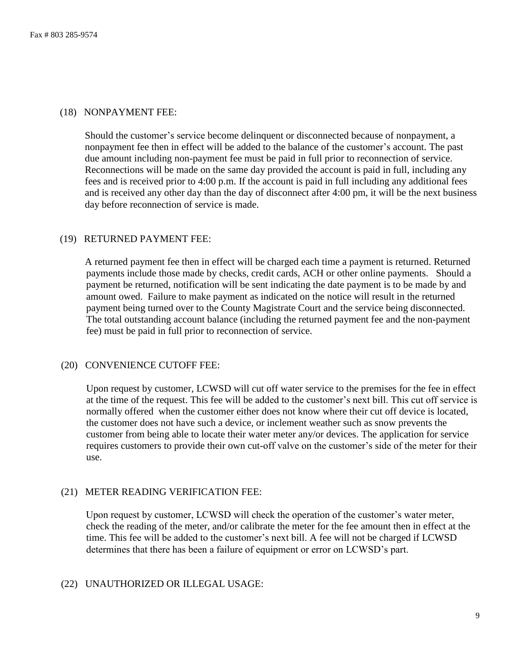### (18) NONPAYMENT FEE:

 Should the customer's service become delinquent or disconnected because of nonpayment, a nonpayment fee then in effect will be added to the balance of the customer's account. The past due amount including non-payment fee must be paid in full prior to reconnection of service. Reconnections will be made on the same day provided the account is paid in full, including any fees and is received prior to 4:00 p.m. If the account is paid in full including any additional fees and is received any other day than the day of disconnect after 4:00 pm, it will be the next business day before reconnection of service is made.

#### (19) RETURNED PAYMENT FEE:

 A returned payment fee then in effect will be charged each time a payment is returned. Returned payments include those made by checks, credit cards, ACH or other online payments. Should a payment be returned, notification will be sent indicating the date payment is to be made by and amount owed. Failure to make payment as indicated on the notice will result in the returned payment being turned over to the County Magistrate Court and the service being disconnected. The total outstanding account balance (including the returned payment fee and the non-payment fee) must be paid in full prior to reconnection of service.

#### (20) CONVENIENCE CUTOFF FEE:

 Upon request by customer, LCWSD will cut off water service to the premises for the fee in effect at the time of the request. This fee will be added to the customer's next bill. This cut off service is normally offered when the customer either does not know where their cut off device is located, the customer does not have such a device, or inclement weather such as snow prevents the customer from being able to locate their water meter any/or devices. The application for service requires customers to provide their own cut-off valve on the customer's side of the meter for their use.

#### (21) METER READING VERIFICATION FEE:

 Upon request by customer, LCWSD will check the operation of the customer's water meter, check the reading of the meter, and/or calibrate the meter for the fee amount then in effect at the time. This fee will be added to the customer's next bill. A fee will not be charged if LCWSD determines that there has been a failure of equipment or error on LCWSD's part.

#### (22) UNAUTHORIZED OR ILLEGAL USAGE: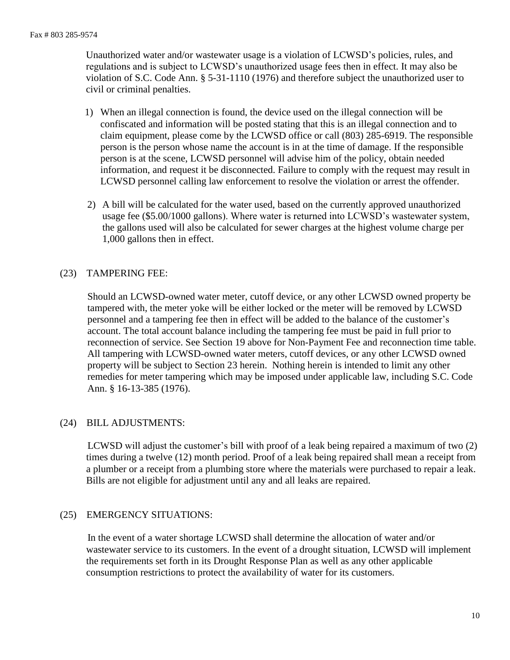Unauthorized water and/or wastewater usage is a violation of LCWSD's policies, rules, and regulations and is subject to LCWSD's unauthorized usage fees then in effect. It may also be violation of S.C. Code Ann. § 5-31-1110 (1976) and therefore subject the unauthorized user to civil or criminal penalties.

- 1) When an illegal connection is found, the device used on the illegal connection will be confiscated and information will be posted stating that this is an illegal connection and to claim equipment, please come by the LCWSD office or call (803) 285-6919. The responsible person is the person whose name the account is in at the time of damage. If the responsible person is at the scene, LCWSD personnel will advise him of the policy, obtain needed information, and request it be disconnected. Failure to comply with the request may result in LCWSD personnel calling law enforcement to resolve the violation or arrest the offender.
- 2) A bill will be calculated for the water used, based on the currently approved unauthorized usage fee (\$5.00/1000 gallons). Where water is returned into LCWSD's wastewater system, the gallons used will also be calculated for sewer charges at the highest volume charge per 1,000 gallons then in effect.

# (23) TAMPERING FEE:

 Should an LCWSD-owned water meter, cutoff device, or any other LCWSD owned property be tampered with, the meter yoke will be either locked or the meter will be removed by LCWSD personnel and a tampering fee then in effect will be added to the balance of the customer's account. The total account balance including the tampering fee must be paid in full prior to reconnection of service. See Section 19 above for Non-Payment Fee and reconnection time table. All tampering with LCWSD-owned water meters, cutoff devices, or any other LCWSD owned property will be subject to Section 23 herein. Nothing herein is intended to limit any other remedies for meter tampering which may be imposed under applicable law, including S.C. Code Ann. § 16-13-385 (1976).

# (24) BILL ADJUSTMENTS:

 LCWSD will adjust the customer's bill with proof of a leak being repaired a maximum of two (2) times during a twelve (12) month period. Proof of a leak being repaired shall mean a receipt from a plumber or a receipt from a plumbing store where the materials were purchased to repair a leak. Bills are not eligible for adjustment until any and all leaks are repaired.

# (25) EMERGENCY SITUATIONS:

 In the event of a water shortage LCWSD shall determine the allocation of water and/or wastewater service to its customers. In the event of a drought situation, LCWSD will implement the requirements set forth in its Drought Response Plan as well as any other applicable consumption restrictions to protect the availability of water for its customers.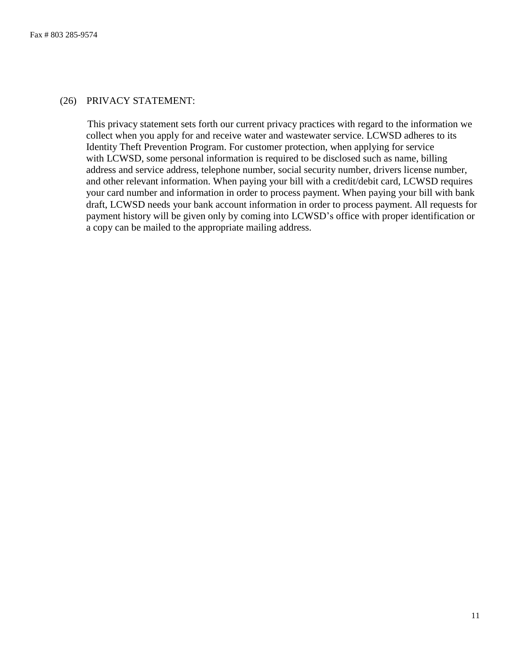## (26) PRIVACY STATEMENT:

This privacy statement sets forth our current privacy practices with regard to the information we collect when you apply for and receive water and wastewater service. LCWSD adheres to its Identity Theft Prevention Program. For customer protection, when applying for service with LCWSD, some personal information is required to be disclosed such as name, billing address and service address, telephone number, social security number, drivers license number, and other relevant information. When paying your bill with a credit/debit card, LCWSD requires your card number and information in order to process payment. When paying your bill with bank draft, LCWSD needs your bank account information in order to process payment. All requests for payment history will be given only by coming into LCWSD's office with proper identification or a copy can be mailed to the appropriate mailing address.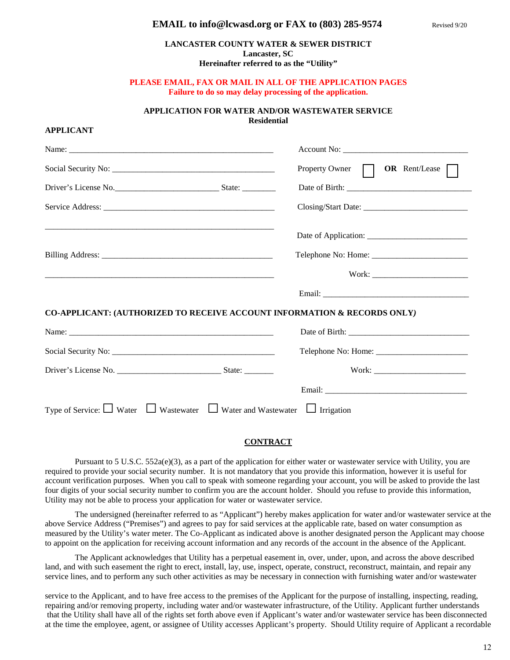#### **EMAIL to info@lcwasd.org or FAX to (803) 285-9574** Revised 9/20

#### **LANCASTER COUNTY WATER & SEWER DISTRICT Lancaster, SC Hereinafter referred to as the "Utility"**

#### **PLEASE EMAIL, FAX OR MAIL IN ALL OF THE APPLICATION PAGES Failure to do so may delay processing of the application.**

#### **APPLICATION FOR WATER AND/OR WASTEWATER SERVICE Residential**

**APPLICANT**

|                                                                                               | Property Owner <b>OR</b> Rent/Lease |
|-----------------------------------------------------------------------------------------------|-------------------------------------|
| Driver's License No.                                                                          |                                     |
|                                                                                               |                                     |
|                                                                                               |                                     |
|                                                                                               |                                     |
|                                                                                               |                                     |
|                                                                                               |                                     |
| CO-APPLICANT: (AUTHORIZED TO RECEIVE ACCOUNT INFORMATION & RECORDS ONLY)                      |                                     |
|                                                                                               |                                     |
|                                                                                               |                                     |
|                                                                                               |                                     |
|                                                                                               |                                     |
| Type of Service: $\Box$ Water $\Box$ Wastewater $\Box$ Water and Wastewater $\Box$ Irrigation |                                     |

#### **CONTRACT**

Pursuant to 5 U.S.C.  $552a(e)(3)$ , as a part of the application for either water or wastewater service with Utility, you are required to provide your social security number. It is not mandatory that you provide this information, however it is useful for account verification purposes. When you call to speak with someone regarding your account, you will be asked to provide the last four digits of your social security number to confirm you are the account holder. Should you refuse to provide this information, Utility may not be able to process your application for water or wastewater service.

The undersigned (hereinafter referred to as "Applicant") hereby makes application for water and/or wastewater service at the above Service Address ("Premises") and agrees to pay for said services at the applicable rate, based on water consumption as measured by the Utility's water meter. The Co-Applicant as indicated above is another designated person the Applicant may choose to appoint on the application for receiving account information and any records of the account in the absence of the Applicant.

The Applicant acknowledges that Utility has a perpetual easement in, over, under, upon, and across the above described land, and with such easement the right to erect, install, lay, use, inspect, operate, construct, reconstruct, maintain, and repair any service lines, and to perform any such other activities as may be necessary in connection with furnishing water and/or wastewater

service to the Applicant, and to have free access to the premises of the Applicant for the purpose of installing, inspecting, reading, repairing and/or removing property, including water and/or wastewater infrastructure, of the Utility. Applicant further understands that the Utility shall have all of the rights set forth above even if Applicant's water and/or wastewater service has been disconnected at the time the employee, agent, or assignee of Utility accesses Applicant's property. Should Utility require of Applicant a recordable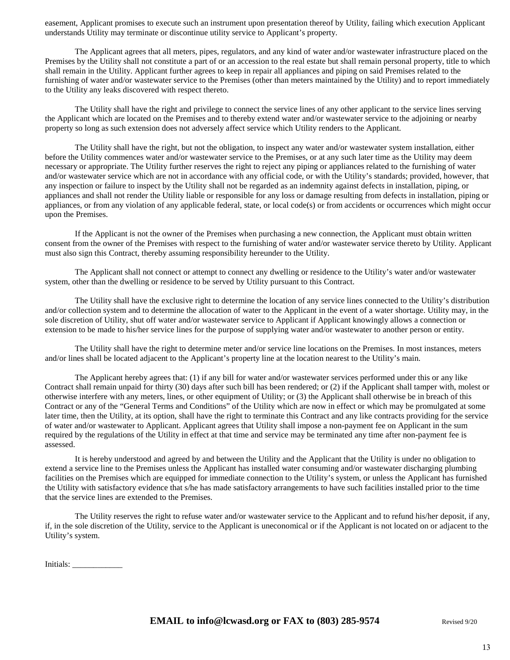easement, Applicant promises to execute such an instrument upon presentation thereof by Utility, failing which execution Applicant understands Utility may terminate or discontinue utility service to Applicant's property.

The Applicant agrees that all meters, pipes, regulators, and any kind of water and/or wastewater infrastructure placed on the Premises by the Utility shall not constitute a part of or an accession to the real estate but shall remain personal property, title to which shall remain in the Utility. Applicant further agrees to keep in repair all appliances and piping on said Premises related to the furnishing of water and/or wastewater service to the Premises (other than meters maintained by the Utility) and to report immediately to the Utility any leaks discovered with respect thereto.

The Utility shall have the right and privilege to connect the service lines of any other applicant to the service lines serving the Applicant which are located on the Premises and to thereby extend water and/or wastewater service to the adjoining or nearby property so long as such extension does not adversely affect service which Utility renders to the Applicant.

The Utility shall have the right, but not the obligation, to inspect any water and/or wastewater system installation, either before the Utility commences water and/or wastewater service to the Premises, or at any such later time as the Utility may deem necessary or appropriate. The Utility further reserves the right to reject any piping or appliances related to the furnishing of water and/or wastewater service which are not in accordance with any official code, or with the Utility's standards; provided, however, that any inspection or failure to inspect by the Utility shall not be regarded as an indemnity against defects in installation, piping, or appliances and shall not render the Utility liable or responsible for any loss or damage resulting from defects in installation, piping or appliances, or from any violation of any applicable federal, state, or local code(s) or from accidents or occurrences which might occur upon the Premises.

If the Applicant is not the owner of the Premises when purchasing a new connection, the Applicant must obtain written consent from the owner of the Premises with respect to the furnishing of water and/or wastewater service thereto by Utility. Applicant must also sign this Contract, thereby assuming responsibility hereunder to the Utility.

The Applicant shall not connect or attempt to connect any dwelling or residence to the Utility's water and/or wastewater system, other than the dwelling or residence to be served by Utility pursuant to this Contract.

The Utility shall have the exclusive right to determine the location of any service lines connected to the Utility's distribution and/or collection system and to determine the allocation of water to the Applicant in the event of a water shortage. Utility may, in the sole discretion of Utility, shut off water and/or wastewater service to Applicant if Applicant knowingly allows a connection or extension to be made to his/her service lines for the purpose of supplying water and/or wastewater to another person or entity.

The Utility shall have the right to determine meter and/or service line locations on the Premises. In most instances, meters and/or lines shall be located adjacent to the Applicant's property line at the location nearest to the Utility's main.

The Applicant hereby agrees that: (1) if any bill for water and/or wastewater services performed under this or any like Contract shall remain unpaid for thirty (30) days after such bill has been rendered; or (2) if the Applicant shall tamper with, molest or otherwise interfere with any meters, lines, or other equipment of Utility; or (3) the Applicant shall otherwise be in breach of this Contract or any of the "General Terms and Conditions" of the Utility which are now in effect or which may be promulgated at some later time, then the Utility, at its option, shall have the right to terminate this Contract and any like contracts providing for the service of water and/or wastewater to Applicant. Applicant agrees that Utility shall impose a non-payment fee on Applicant in the sum required by the regulations of the Utility in effect at that time and service may be terminated any time after non-payment fee is assessed.

It is hereby understood and agreed by and between the Utility and the Applicant that the Utility is under no obligation to extend a service line to the Premises unless the Applicant has installed water consuming and/or wastewater discharging plumbing facilities on the Premises which are equipped for immediate connection to the Utility's system, or unless the Applicant has furnished the Utility with satisfactory evidence that s/he has made satisfactory arrangements to have such facilities installed prior to the time that the service lines are extended to the Premises.

The Utility reserves the right to refuse water and/or wastewater service to the Applicant and to refund his/her deposit, if any, if, in the sole discretion of the Utility, service to the Applicant is uneconomical or if the Applicant is not located on or adjacent to the Utility's system.

Initials: \_\_\_\_\_\_\_\_\_\_\_\_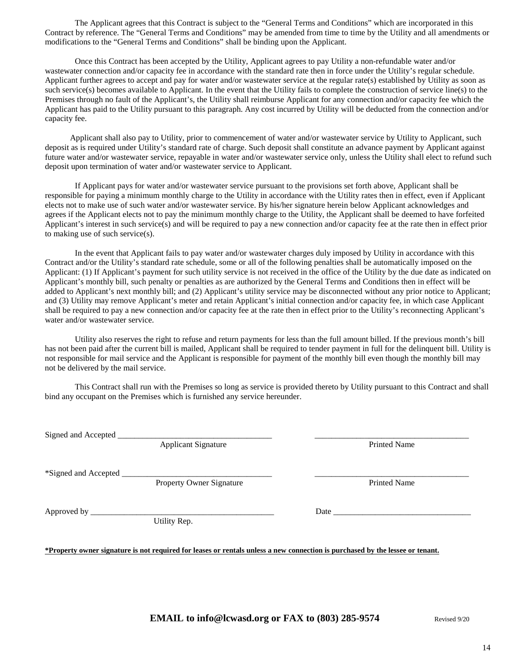The Applicant agrees that this Contract is subject to the "General Terms and Conditions" which are incorporated in this Contract by reference. The "General Terms and Conditions" may be amended from time to time by the Utility and all amendments or modifications to the "General Terms and Conditions" shall be binding upon the Applicant.

Once this Contract has been accepted by the Utility, Applicant agrees to pay Utility a non-refundable water and/or wastewater connection and/or capacity fee in accordance with the standard rate then in force under the Utility's regular schedule. Applicant further agrees to accept and pay for water and/or wastewater service at the regular rate(s) established by Utility as soon as such service(s) becomes available to Applicant. In the event that the Utility fails to complete the construction of service line(s) to the Premises through no fault of the Applicant's, the Utility shall reimburse Applicant for any connection and/or capacity fee which the Applicant has paid to the Utility pursuant to this paragraph. Any cost incurred by Utility will be deducted from the connection and/or capacity fee.

 Applicant shall also pay to Utility, prior to commencement of water and/or wastewater service by Utility to Applicant, such deposit as is required under Utility's standard rate of charge. Such deposit shall constitute an advance payment by Applicant against future water and/or wastewater service, repayable in water and/or wastewater service only, unless the Utility shall elect to refund such deposit upon termination of water and/or wastewater service to Applicant.

If Applicant pays for water and/or wastewater service pursuant to the provisions set forth above, Applicant shall be responsible for paying a minimum monthly charge to the Utility in accordance with the Utility rates then in effect, even if Applicant elects not to make use of such water and/or wastewater service. By his/her signature herein below Applicant acknowledges and agrees if the Applicant elects not to pay the minimum monthly charge to the Utility, the Applicant shall be deemed to have forfeited Applicant's interest in such service(s) and will be required to pay a new connection and/or capacity fee at the rate then in effect prior to making use of such service(s).

In the event that Applicant fails to pay water and/or wastewater charges duly imposed by Utility in accordance with this Contract and/or the Utility's standard rate schedule, some or all of the following penalties shall be automatically imposed on the Applicant: (1) If Applicant's payment for such utility service is not received in the office of the Utility by the due date as indicated on Applicant's monthly bill, such penalty or penalties as are authorized by the General Terms and Conditions then in effect will be added to Applicant's next monthly bill; and (2) Applicant's utility service may be disconnected without any prior notice to Applicant; and (3) Utility may remove Applicant's meter and retain Applicant's initial connection and/or capacity fee, in which case Applicant shall be required to pay a new connection and/or capacity fee at the rate then in effect prior to the Utility's reconnecting Applicant's water and/or wastewater service.

Utility also reserves the right to refuse and return payments for less than the full amount billed. If the previous month's bill has not been paid after the current bill is mailed, Applicant shall be required to tender payment in full for the delinquent bill. Utility is not responsible for mail service and the Applicant is responsible for payment of the monthly bill even though the monthly bill may not be delivered by the mail service.

This Contract shall run with the Premises so long as service is provided thereto by Utility pursuant to this Contract and shall bind any occupant on the Premises which is furnished any service hereunder.

Signed and Accepted

Applicant Signature Printed Name

\*Signed and Accepted \_\_\_\_\_\_\_\_\_\_\_\_\_\_\_\_\_\_\_\_\_\_\_\_\_\_\_\_\_\_\_\_\_\_\_\_ \_\_\_\_\_\_\_\_\_\_\_\_\_\_\_\_\_\_\_\_\_\_\_\_\_\_\_\_\_\_\_\_\_\_\_\_\_

Property Owner Signature Printed Name

Approved by \_\_\_\_\_\_\_\_\_\_\_\_\_\_\_\_\_\_\_\_\_\_\_\_\_\_\_\_\_\_\_\_\_\_\_\_\_\_\_\_\_\_\_\_ Date \_\_\_\_\_\_\_\_\_\_\_\_\_\_\_\_\_\_\_\_\_\_\_\_\_\_\_\_\_\_\_\_\_

Utility Rep.

**\*Property owner signature is not required for leases or rentals unless a new connection is purchased by the lessee or tenant.**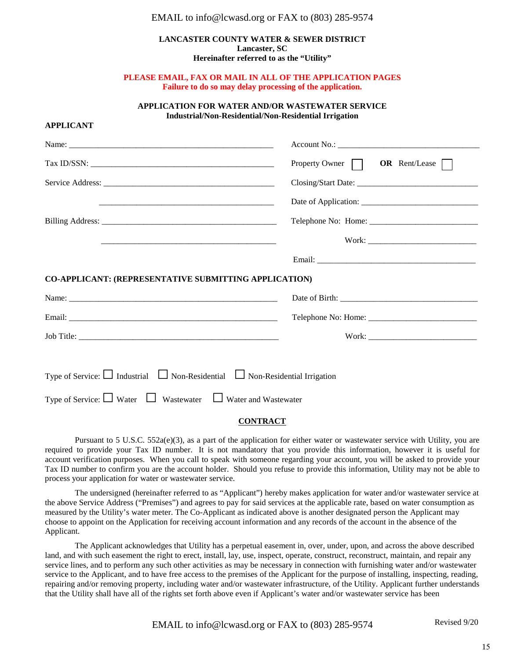#### EMAIL to info@lcwasd.org or FAX to (803) 285-9574

#### **LANCASTER COUNTY WATER & SEWER DISTRICT Lancaster, SC Hereinafter referred to as the "Utility"**

#### **PLEASE EMAIL, FAX OR MAIL IN ALL OF THE APPLICATION PAGES Failure to do so may delay processing of the application.**

#### **APPLICATION FOR WATER AND/OR WASTEWATER SERVICE Industrial/Non-Residential/Non-Residential Irrigation**

| <b>APPLICANT</b>                                                                            |                                            |
|---------------------------------------------------------------------------------------------|--------------------------------------------|
|                                                                                             |                                            |
|                                                                                             | Property Owner $\Box$ OR Rent/Lease $\Box$ |
|                                                                                             |                                            |
|                                                                                             |                                            |
|                                                                                             |                                            |
|                                                                                             |                                            |
|                                                                                             |                                            |
| CO-APPLICANT: (REPRESENTATIVE SUBMITTING APPLICATION)                                       |                                            |
|                                                                                             |                                            |
|                                                                                             |                                            |
|                                                                                             |                                            |
|                                                                                             |                                            |
| Type of Service: $\Box$ Industrial $\Box$ Non-Residential $\Box$ Non-Residential Irrigation |                                            |
| Type of Service: $\Box$ Water $\Box$ Wastewater $\Box$ Water and Wastewater                 |                                            |

#### **CONTRACT**

Pursuant to 5 U.S.C. 552a(e)(3), as a part of the application for either water or wastewater service with Utility, you are required to provide your Tax ID number. It is not mandatory that you provide this information, however it is useful for account verification purposes. When you call to speak with someone regarding your account, you will be asked to provide your Tax ID number to confirm you are the account holder. Should you refuse to provide this information, Utility may not be able to process your application for water or wastewater service.

The undersigned (hereinafter referred to as "Applicant") hereby makes application for water and/or wastewater service at the above Service Address ("Premises") and agrees to pay for said services at the applicable rate, based on water consumption as measured by the Utility's water meter. The Co-Applicant as indicated above is another designated person the Applicant may choose to appoint on the Application for receiving account information and any records of the account in the absence of the Applicant.

The Applicant acknowledges that Utility has a perpetual easement in, over, under, upon, and across the above described land, and with such easement the right to erect, install, lay, use, inspect, operate, construct, reconstruct, maintain, and repair any service lines, and to perform any such other activities as may be necessary in connection with furnishing water and/or wastewater service to the Applicant, and to have free access to the premises of the Applicant for the purpose of installing, inspecting, reading, repairing and/or removing property, including water and/or wastewater infrastructure, of the Utility. Applicant further understands that the Utility shall have all of the rights set forth above even if Applicant's water and/or wastewater service has been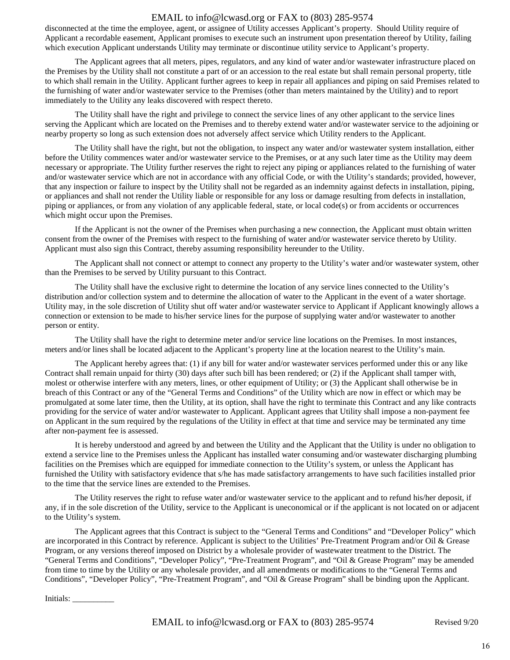## EMAIL to info@lcwasd.org or FAX to (803) 285-9574

disconnected at the time the employee, agent, or assignee of Utility accesses Applicant's property. Should Utility require of Applicant a recordable easement, Applicant promises to execute such an instrument upon presentation thereof by Utility, failing which execution Applicant understands Utility may terminate or discontinue utility service to Applicant's property.

The Applicant agrees that all meters, pipes, regulators, and any kind of water and/or wastewater infrastructure placed on the Premises by the Utility shall not constitute a part of or an accession to the real estate but shall remain personal property, title to which shall remain in the Utility. Applicant further agrees to keep in repair all appliances and piping on said Premises related to the furnishing of water and/or wastewater service to the Premises (other than meters maintained by the Utility) and to report immediately to the Utility any leaks discovered with respect thereto.

The Utility shall have the right and privilege to connect the service lines of any other applicant to the service lines serving the Applicant which are located on the Premises and to thereby extend water and/or wastewater service to the adjoining or nearby property so long as such extension does not adversely affect service which Utility renders to the Applicant.

The Utility shall have the right, but not the obligation, to inspect any water and/or wastewater system installation, either before the Utility commences water and/or wastewater service to the Premises, or at any such later time as the Utility may deem necessary or appropriate. The Utility further reserves the right to reject any piping or appliances related to the furnishing of water and/or wastewater service which are not in accordance with any official Code, or with the Utility's standards; provided, however, that any inspection or failure to inspect by the Utility shall not be regarded as an indemnity against defects in installation, piping, or appliances and shall not render the Utility liable or responsible for any loss or damage resulting from defects in installation, piping or appliances, or from any violation of any applicable federal, state, or local code(s) or from accidents or occurrences which might occur upon the Premises.

If the Applicant is not the owner of the Premises when purchasing a new connection, the Applicant must obtain written consent from the owner of the Premises with respect to the furnishing of water and/or wastewater service thereto by Utility. Applicant must also sign this Contract, thereby assuming responsibility hereunder to the Utility.

The Applicant shall not connect or attempt to connect any property to the Utility's water and/or wastewater system, other than the Premises to be served by Utility pursuant to this Contract.

The Utility shall have the exclusive right to determine the location of any service lines connected to the Utility's distribution and/or collection system and to determine the allocation of water to the Applicant in the event of a water shortage. Utility may, in the sole discretion of Utility shut off water and/or wastewater service to Applicant if Applicant knowingly allows a connection or extension to be made to his/her service lines for the purpose of supplying water and/or wastewater to another person or entity.

The Utility shall have the right to determine meter and/or service line locations on the Premises. In most instances, meters and/or lines shall be located adjacent to the Applicant's property line at the location nearest to the Utility's main.

The Applicant hereby agrees that: (1) if any bill for water and/or wastewater services performed under this or any like Contract shall remain unpaid for thirty (30) days after such bill has been rendered; or (2) if the Applicant shall tamper with, molest or otherwise interfere with any meters, lines, or other equipment of Utility; or (3) the Applicant shall otherwise be in breach of this Contract or any of the "General Terms and Conditions" of the Utility which are now in effect or which may be promulgated at some later time, then the Utility, at its option, shall have the right to terminate this Contract and any like contracts providing for the service of water and/or wastewater to Applicant. Applicant agrees that Utility shall impose a non-payment fee on Applicant in the sum required by the regulations of the Utility in effect at that time and service may be terminated any time after non-payment fee is assessed.

It is hereby understood and agreed by and between the Utility and the Applicant that the Utility is under no obligation to extend a service line to the Premises unless the Applicant has installed water consuming and/or wastewater discharging plumbing facilities on the Premises which are equipped for immediate connection to the Utility's system, or unless the Applicant has furnished the Utility with satisfactory evidence that s/he has made satisfactory arrangements to have such facilities installed prior to the time that the service lines are extended to the Premises.

The Utility reserves the right to refuse water and/or wastewater service to the applicant and to refund his/her deposit, if any, if in the sole discretion of the Utility, service to the Applicant is uneconomical or if the applicant is not located on or adjacent to the Utility's system.

The Applicant agrees that this Contract is subject to the "General Terms and Conditions" and "Developer Policy" which are incorporated in this Contract by reference. Applicant is subject to the Utilities' Pre-Treatment Program and/or Oil & Grease Program, or any versions thereof imposed on District by a wholesale provider of wastewater treatment to the District. The "General Terms and Conditions", "Developer Policy", "Pre-Treatment Program", and "Oil & Grease Program" may be amended from time to time by the Utility or any wholesale provider, and all amendments or modifications to the "General Terms and Conditions", "Developer Policy", "Pre-Treatment Program", and "Oil & Grease Program" shall be binding upon the Applicant.

Initials: \_\_\_\_\_\_\_\_\_\_